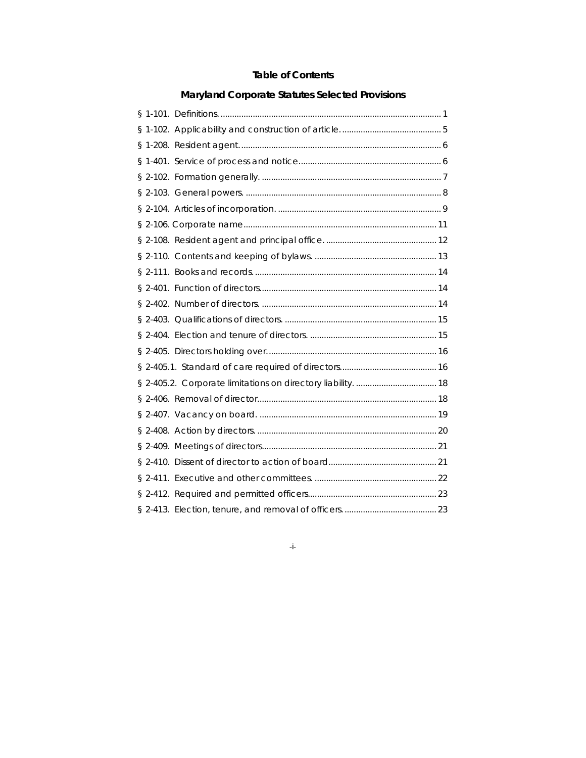## **Table of Contents**

# **Maryland Corporate Statutes Selected Provisions**

-i-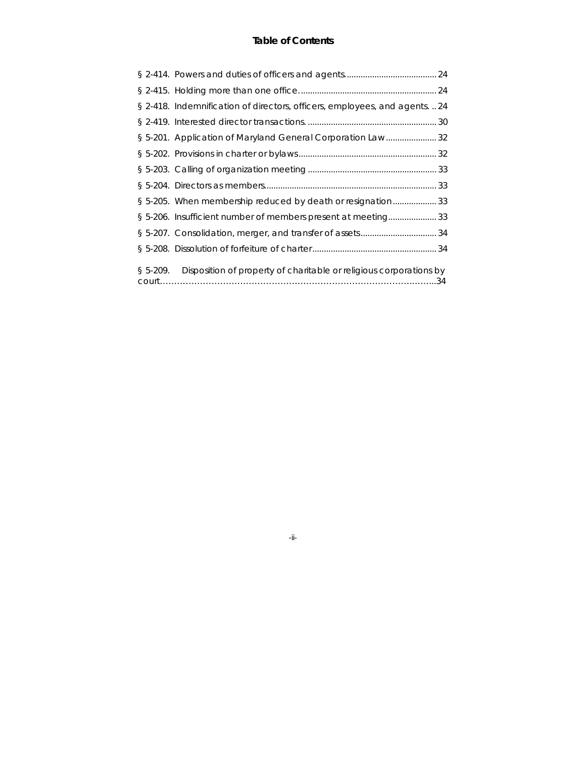## **Table of Contents**

|           | § 2-418. Indemnification of directors, officers, employees, and agents.  24 |  |
|-----------|-----------------------------------------------------------------------------|--|
|           |                                                                             |  |
|           | § 5-201. Application of Maryland General Corporation Law32                  |  |
|           |                                                                             |  |
|           |                                                                             |  |
|           |                                                                             |  |
|           | § 5-205. When membership reduced by death or resignation33                  |  |
|           | § 5-206. Insufficient number of members present at meeting33                |  |
|           |                                                                             |  |
|           |                                                                             |  |
| $$5-209.$ | Disposition of property of charitable or religious corporations by          |  |

-ii-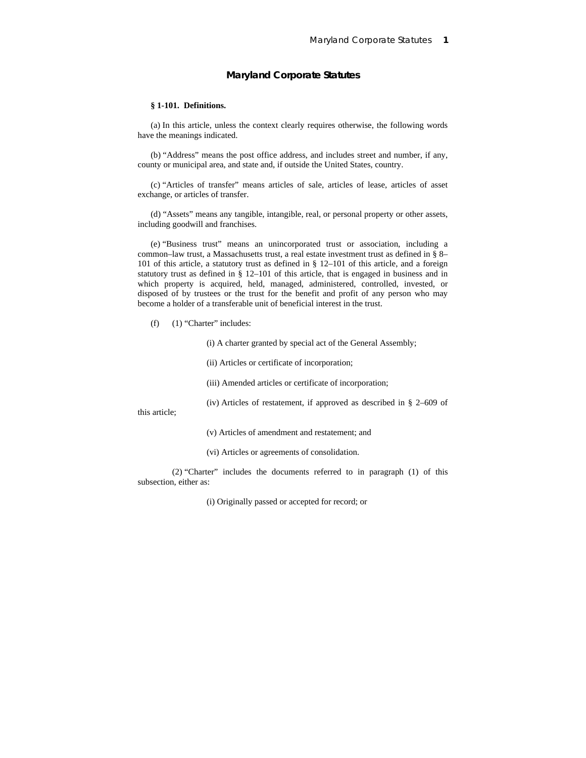## **§ 1-101. Definitions.**

(a) In this article, unless the context clearly requires otherwise, the following words have the meanings indicated.

(b) "Address" means the post office address, and includes street and number, if any, county or municipal area, and state and, if outside the United States, country.

(c) "Articles of transfer" means articles of sale, articles of lease, articles of asset exchange, or articles of transfer.

(d) "Assets" means any tangible, intangible, real, or personal property or other assets, including goodwill and franchises.

(e) "Business trust" means an unincorporated trust or association, including a common–law trust, a Massachusetts trust, a real estate investment trust as defined in § 8– 101 of this article, a statutory trust as defined in § 12–101 of this article, and a foreign statutory trust as defined in § 12–101 of this article, that is engaged in business and in which property is acquired, held, managed, administered, controlled, invested, or disposed of by trustees or the trust for the benefit and profit of any person who may become a holder of a transferable unit of beneficial interest in the trust.

 $(f)$  (1) "Charter" includes:

(i) A charter granted by special act of the General Assembly;

(ii) Articles or certificate of incorporation;

(iii) Amended articles or certificate of incorporation;

(iv) Articles of restatement, if approved as described in § 2–609 of

this article;

(v) Articles of amendment and restatement; and

(vi) Articles or agreements of consolidation.

(2) "Charter" includes the documents referred to in paragraph (1) of this subsection, either as:

(i) Originally passed or accepted for record; or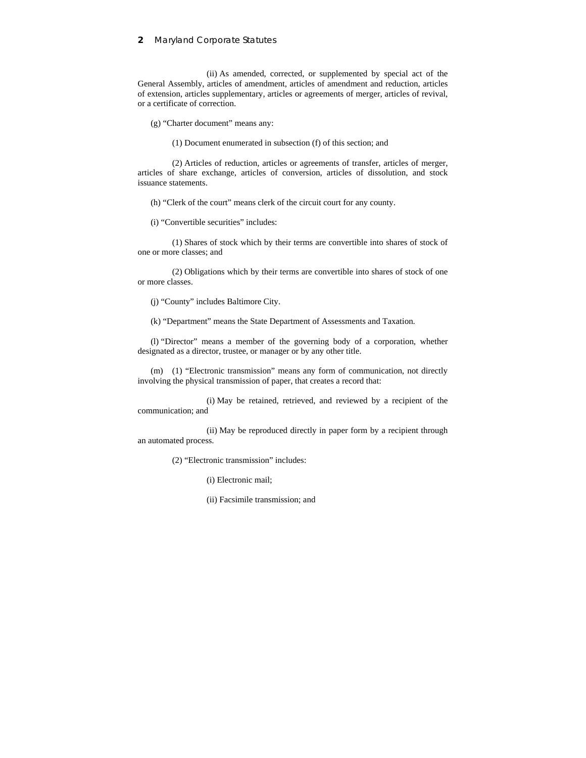(ii) As amended, corrected, or supplemented by special act of the General Assembly, articles of amendment, articles of amendment and reduction, articles of extension, articles supplementary, articles or agreements of merger, articles of revival, or a certificate of correction.

(g) "Charter document" means any:

(1) Document enumerated in subsection (f) of this section; and

(2) Articles of reduction, articles or agreements of transfer, articles of merger, articles of share exchange, articles of conversion, articles of dissolution, and stock issuance statements.

(h) "Clerk of the court" means clerk of the circuit court for any county.

(i) "Convertible securities" includes:

(1) Shares of stock which by their terms are convertible into shares of stock of one or more classes; and

(2) Obligations which by their terms are convertible into shares of stock of one or more classes.

(j) "County" includes Baltimore City.

(k) "Department" means the State Department of Assessments and Taxation.

(l) "Director" means a member of the governing body of a corporation, whether designated as a director, trustee, or manager or by any other title.

(m) (1) "Electronic transmission" means any form of communication, not directly involving the physical transmission of paper, that creates a record that:

(i) May be retained, retrieved, and reviewed by a recipient of the communication; and

(ii) May be reproduced directly in paper form by a recipient through an automated process.

(2) "Electronic transmission" includes:

(i) Electronic mail;

(ii) Facsimile transmission; and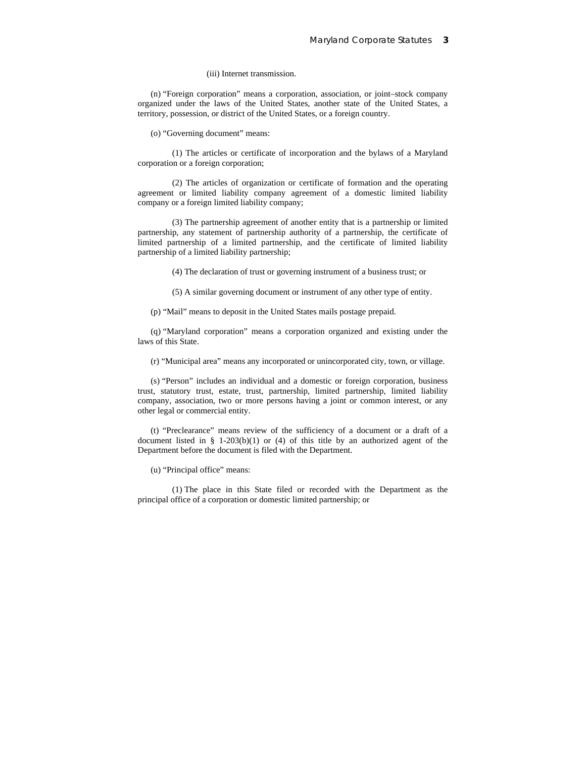## (iii) Internet transmission.

(n) "Foreign corporation" means a corporation, association, or joint–stock company organized under the laws of the United States, another state of the United States, a territory, possession, or district of the United States, or a foreign country.

(o) "Governing document" means:

(1) The articles or certificate of incorporation and the bylaws of a Maryland corporation or a foreign corporation;

(2) The articles of organization or certificate of formation and the operating agreement or limited liability company agreement of a domestic limited liability company or a foreign limited liability company;

(3) The partnership agreement of another entity that is a partnership or limited partnership, any statement of partnership authority of a partnership, the certificate of limited partnership of a limited partnership, and the certificate of limited liability partnership of a limited liability partnership;

(4) The declaration of trust or governing instrument of a business trust; or

(5) A similar governing document or instrument of any other type of entity.

(p) "Mail" means to deposit in the United States mails postage prepaid.

(q) "Maryland corporation" means a corporation organized and existing under the laws of this State.

(r) "Municipal area" means any incorporated or unincorporated city, town, or village.

(s) "Person" includes an individual and a domestic or foreign corporation, business trust, statutory trust, estate, trust, partnership, limited partnership, limited liability company, association, two or more persons having a joint or common interest, or any other legal or commercial entity.

(t) "Preclearance" means review of the sufficiency of a document or a draft of a document listed in § 1-203(b)(1) or (4) of this title by an authorized agent of the Department before the document is filed with the Department.

(u) "Principal office" means:

(1) The place in this State filed or recorded with the Department as the principal office of a corporation or domestic limited partnership; or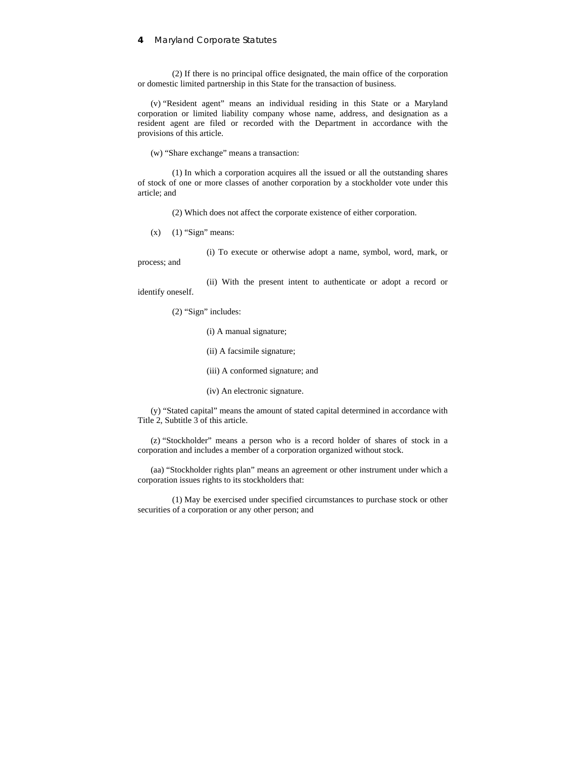(2) If there is no principal office designated, the main office of the corporation or domestic limited partnership in this State for the transaction of business.

(v) "Resident agent" means an individual residing in this State or a Maryland corporation or limited liability company whose name, address, and designation as a resident agent are filed or recorded with the Department in accordance with the provisions of this article.

(w) "Share exchange" means a transaction:

(1) In which a corporation acquires all the issued or all the outstanding shares of stock of one or more classes of another corporation by a stockholder vote under this article; and

(2) Which does not affect the corporate existence of either corporation.

 $(x)$  (1) "Sign" means:

(i) To execute or otherwise adopt a name, symbol, word, mark, or process; and

(ii) With the present intent to authenticate or adopt a record or identify oneself.

(2) "Sign" includes:

- (i) A manual signature;
- (ii) A facsimile signature;
- (iii) A conformed signature; and
- (iv) An electronic signature.

(y) "Stated capital" means the amount of stated capital determined in accordance with Title 2, Subtitle 3 of this article.

(z) "Stockholder" means a person who is a record holder of shares of stock in a corporation and includes a member of a corporation organized without stock.

(aa) "Stockholder rights plan" means an agreement or other instrument under which a corporation issues rights to its stockholders that:

(1) May be exercised under specified circumstances to purchase stock or other securities of a corporation or any other person; and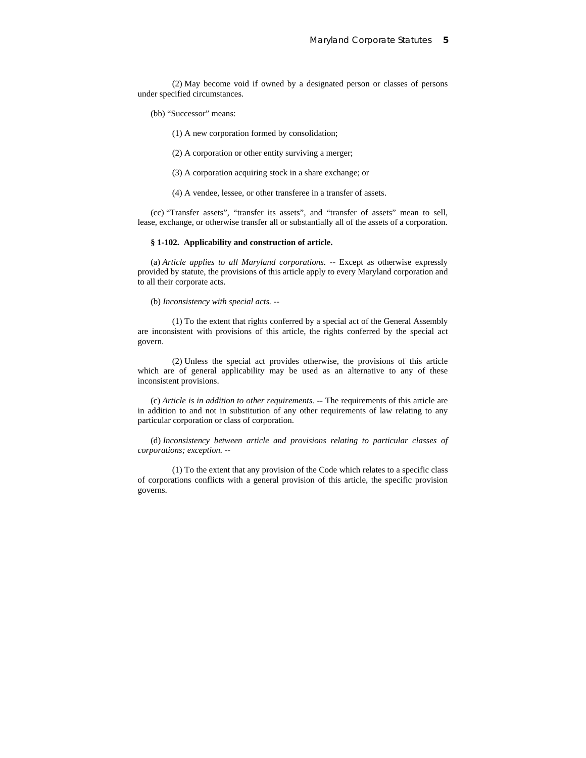(2) May become void if owned by a designated person or classes of persons under specified circumstances.

- (bb) "Successor" means:
	- (1) A new corporation formed by consolidation;
	- (2) A corporation or other entity surviving a merger;
	- (3) A corporation acquiring stock in a share exchange; or
	- (4) A vendee, lessee, or other transferee in a transfer of assets.

(cc) "Transfer assets", "transfer its assets", and "transfer of assets" mean to sell, lease, exchange, or otherwise transfer all or substantially all of the assets of a corporation.

## **§ 1-102. Applicability and construction of article.**

(a) *Article applies to all Maryland corporations.* -- Except as otherwise expressly provided by statute, the provisions of this article apply to every Maryland corporation and to all their corporate acts.

(b) *Inconsistency with special acts.* --

(1) To the extent that rights conferred by a special act of the General Assembly are inconsistent with provisions of this article, the rights conferred by the special act govern.

(2) Unless the special act provides otherwise, the provisions of this article which are of general applicability may be used as an alternative to any of these inconsistent provisions.

(c) *Article is in addition to other requirements.* -- The requirements of this article are in addition to and not in substitution of any other requirements of law relating to any particular corporation or class of corporation.

(d) *Inconsistency between article and provisions relating to particular classes of corporations; exception.* --

(1) To the extent that any provision of the Code which relates to a specific class of corporations conflicts with a general provision of this article, the specific provision governs.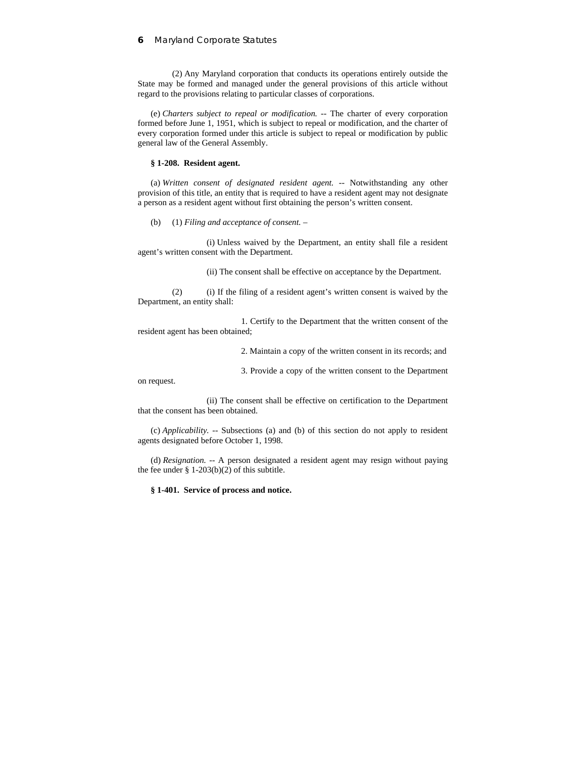(2) Any Maryland corporation that conducts its operations entirely outside the State may be formed and managed under the general provisions of this article without regard to the provisions relating to particular classes of corporations.

(e) *Charters subject to repeal or modification.* -- The charter of every corporation formed before June 1, 1951, which is subject to repeal or modification, and the charter of every corporation formed under this article is subject to repeal or modification by public general law of the General Assembly.

#### **§ 1-208. Resident agent.**

(a) *Written consent of designated resident agent.* -- Notwithstanding any other provision of this title, an entity that is required to have a resident agent may not designate a person as a resident agent without first obtaining the person's written consent.

(b) (1) *Filing and acceptance of consent.* –

(i) Unless waived by the Department, an entity shall file a resident agent's written consent with the Department.

(ii) The consent shall be effective on acceptance by the Department.

(2) (i) If the filing of a resident agent's written consent is waived by the Department, an entity shall:

1. Certify to the Department that the written consent of the resident agent has been obtained;

2. Maintain a copy of the written consent in its records; and

3. Provide a copy of the written consent to the Department

on request.

(ii) The consent shall be effective on certification to the Department that the consent has been obtained.

(c) *Applicability.* -- Subsections (a) and (b) of this section do not apply to resident agents designated before October 1, 1998.

(d) *Resignation.* -- A person designated a resident agent may resign without paying the fee under  $\S$  1-203(b)(2) of this subtitle.

**§ 1-401. Service of process and notice.**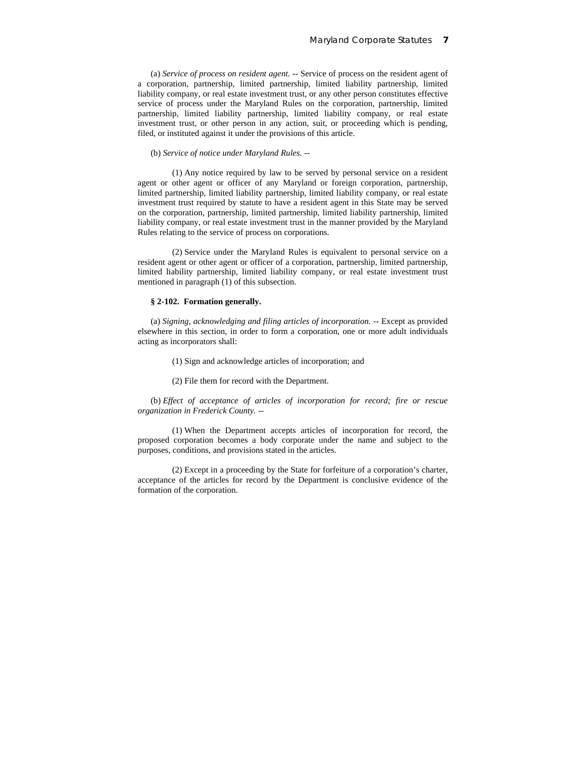(a) *Service of process on resident agent.* -- Service of process on the resident agent of a corporation, partnership, limited partnership, limited liability partnership, limited liability company, or real estate investment trust, or any other person constitutes effective service of process under the Maryland Rules on the corporation, partnership, limited partnership, limited liability partnership, limited liability company, or real estate investment trust, or other person in any action, suit, or proceeding which is pending, filed, or instituted against it under the provisions of this article.

### (b) *Service of notice under Maryland Rules.* --

(1) Any notice required by law to be served by personal service on a resident agent or other agent or officer of any Maryland or foreign corporation, partnership, limited partnership, limited liability partnership, limited liability company, or real estate investment trust required by statute to have a resident agent in this State may be served on the corporation, partnership, limited partnership, limited liability partnership, limited liability company, or real estate investment trust in the manner provided by the Maryland Rules relating to the service of process on corporations.

(2) Service under the Maryland Rules is equivalent to personal service on a resident agent or other agent or officer of a corporation, partnership, limited partnership, limited liability partnership, limited liability company, or real estate investment trust mentioned in paragraph (1) of this subsection.

## **§ 2-102. Formation generally.**

(a) *Signing, acknowledging and filing articles of incorporation.* -- Except as provided elsewhere in this section, in order to form a corporation, one or more adult individuals acting as incorporators shall:

- (1) Sign and acknowledge articles of incorporation; and
- (2) File them for record with the Department.

(b) *Effect of acceptance of articles of incorporation for record; fire or rescue organization in Frederick County.* --

(1) When the Department accepts articles of incorporation for record, the proposed corporation becomes a body corporate under the name and subject to the purposes, conditions, and provisions stated in the articles.

(2) Except in a proceeding by the State for forfeiture of a corporation's charter, acceptance of the articles for record by the Department is conclusive evidence of the formation of the corporation.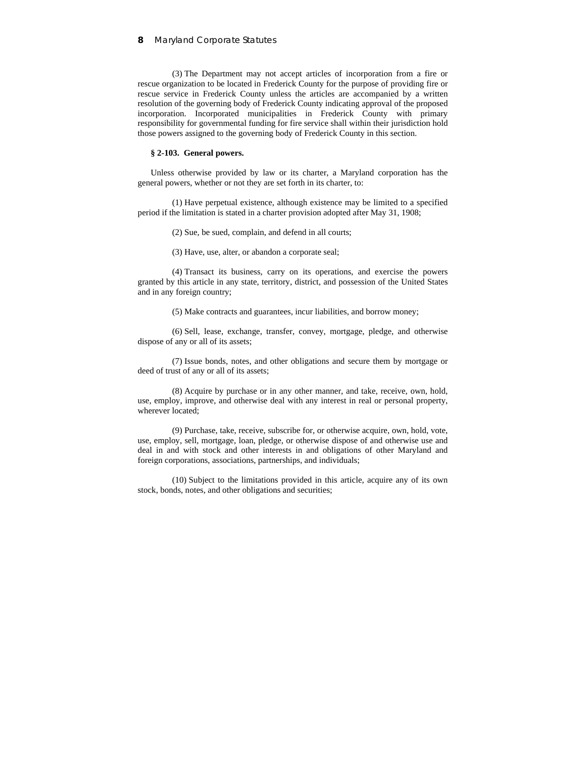(3) The Department may not accept articles of incorporation from a fire or rescue organization to be located in Frederick County for the purpose of providing fire or rescue service in Frederick County unless the articles are accompanied by a written resolution of the governing body of Frederick County indicating approval of the proposed incorporation. Incorporated municipalities in Frederick County with primary responsibility for governmental funding for fire service shall within their jurisdiction hold those powers assigned to the governing body of Frederick County in this section.

#### **§ 2-103. General powers.**

Unless otherwise provided by law or its charter, a Maryland corporation has the general powers, whether or not they are set forth in its charter, to:

(1) Have perpetual existence, although existence may be limited to a specified period if the limitation is stated in a charter provision adopted after May 31, 1908;

(2) Sue, be sued, complain, and defend in all courts;

(3) Have, use, alter, or abandon a corporate seal;

(4) Transact its business, carry on its operations, and exercise the powers granted by this article in any state, territory, district, and possession of the United States and in any foreign country;

(5) Make contracts and guarantees, incur liabilities, and borrow money;

(6) Sell, lease, exchange, transfer, convey, mortgage, pledge, and otherwise dispose of any or all of its assets;

(7) Issue bonds, notes, and other obligations and secure them by mortgage or deed of trust of any or all of its assets;

(8) Acquire by purchase or in any other manner, and take, receive, own, hold, use, employ, improve, and otherwise deal with any interest in real or personal property, wherever located;

(9) Purchase, take, receive, subscribe for, or otherwise acquire, own, hold, vote, use, employ, sell, mortgage, loan, pledge, or otherwise dispose of and otherwise use and deal in and with stock and other interests in and obligations of other Maryland and foreign corporations, associations, partnerships, and individuals;

(10) Subject to the limitations provided in this article, acquire any of its own stock, bonds, notes, and other obligations and securities;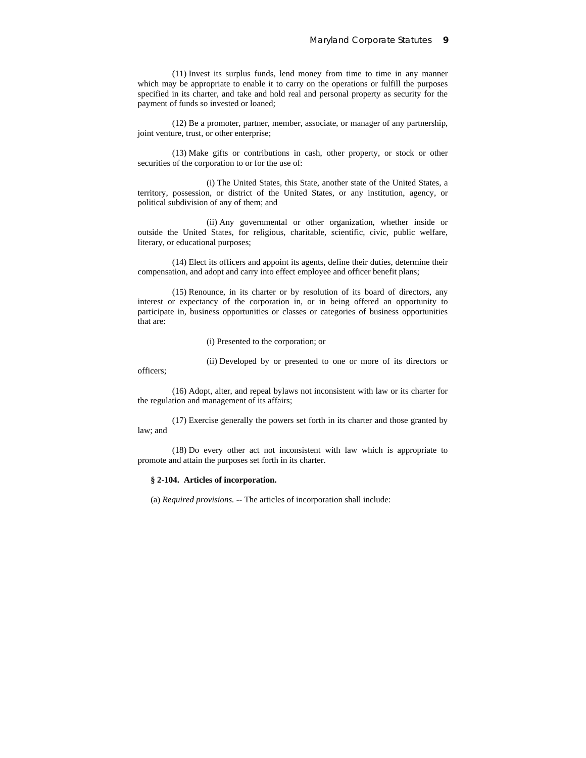(11) Invest its surplus funds, lend money from time to time in any manner which may be appropriate to enable it to carry on the operations or fulfill the purposes specified in its charter, and take and hold real and personal property as security for the payment of funds so invested or loaned;

(12) Be a promoter, partner, member, associate, or manager of any partnership, joint venture, trust, or other enterprise;

(13) Make gifts or contributions in cash, other property, or stock or other securities of the corporation to or for the use of:

(i) The United States, this State, another state of the United States, a territory, possession, or district of the United States, or any institution, agency, or political subdivision of any of them; and

(ii) Any governmental or other organization, whether inside or outside the United States, for religious, charitable, scientific, civic, public welfare, literary, or educational purposes;

(14) Elect its officers and appoint its agents, define their duties, determine their compensation, and adopt and carry into effect employee and officer benefit plans;

(15) Renounce, in its charter or by resolution of its board of directors, any interest or expectancy of the corporation in, or in being offered an opportunity to participate in, business opportunities or classes or categories of business opportunities that are:

(i) Presented to the corporation; or

(ii) Developed by or presented to one or more of its directors or

officers;

(16) Adopt, alter, and repeal bylaws not inconsistent with law or its charter for the regulation and management of its affairs;

(17) Exercise generally the powers set forth in its charter and those granted by law; and

(18) Do every other act not inconsistent with law which is appropriate to promote and attain the purposes set forth in its charter.

### **§ 2-104. Articles of incorporation.**

(a) *Required provisions.* -- The articles of incorporation shall include: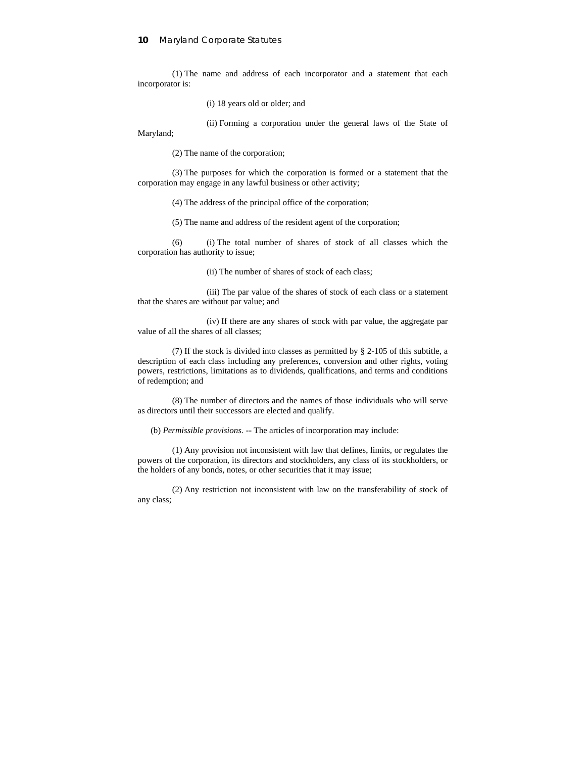(1) The name and address of each incorporator and a statement that each incorporator is:

(i) 18 years old or older; and

(ii) Forming a corporation under the general laws of the State of

Maryland;

(2) The name of the corporation;

(3) The purposes for which the corporation is formed or a statement that the corporation may engage in any lawful business or other activity;

(4) The address of the principal office of the corporation;

(5) The name and address of the resident agent of the corporation;

(6) (i) The total number of shares of stock of all classes which the corporation has authority to issue;

(ii) The number of shares of stock of each class;

(iii) The par value of the shares of stock of each class or a statement that the shares are without par value; and

(iv) If there are any shares of stock with par value, the aggregate par value of all the shares of all classes;

(7) If the stock is divided into classes as permitted by § 2-105 of this subtitle, a description of each class including any preferences, conversion and other rights, voting powers, restrictions, limitations as to dividends, qualifications, and terms and conditions of redemption; and

(8) The number of directors and the names of those individuals who will serve as directors until their successors are elected and qualify.

(b) *Permissible provisions.* -- The articles of incorporation may include:

(1) Any provision not inconsistent with law that defines, limits, or regulates the powers of the corporation, its directors and stockholders, any class of its stockholders, or the holders of any bonds, notes, or other securities that it may issue;

(2) Any restriction not inconsistent with law on the transferability of stock of any class;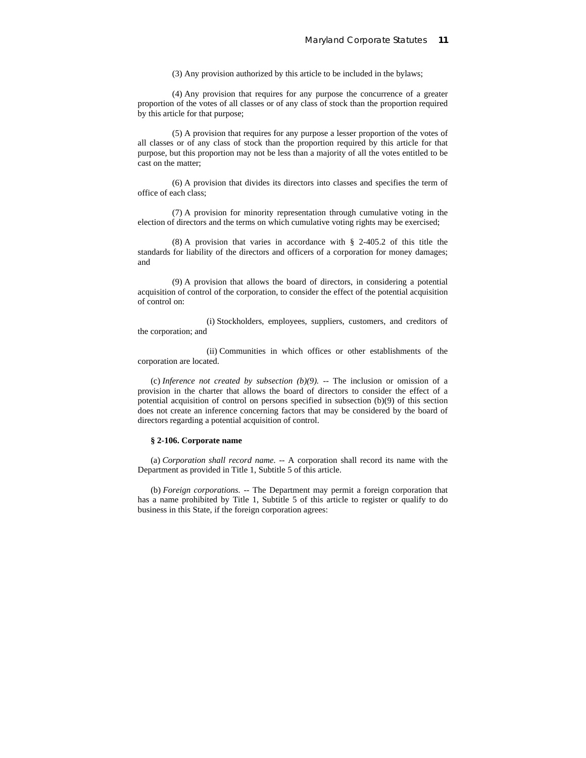(3) Any provision authorized by this article to be included in the bylaws;

(4) Any provision that requires for any purpose the concurrence of a greater proportion of the votes of all classes or of any class of stock than the proportion required by this article for that purpose;

(5) A provision that requires for any purpose a lesser proportion of the votes of all classes or of any class of stock than the proportion required by this article for that purpose, but this proportion may not be less than a majority of all the votes entitled to be cast on the matter;

(6) A provision that divides its directors into classes and specifies the term of office of each class;

(7) A provision for minority representation through cumulative voting in the election of directors and the terms on which cumulative voting rights may be exercised;

(8) A provision that varies in accordance with § 2-405.2 of this title the standards for liability of the directors and officers of a corporation for money damages; and

(9) A provision that allows the board of directors, in considering a potential acquisition of control of the corporation, to consider the effect of the potential acquisition of control on:

(i) Stockholders, employees, suppliers, customers, and creditors of the corporation; and

(ii) Communities in which offices or other establishments of the corporation are located.

(c) *Inference not created by subsection*  $(b)(9)$ *.* -- The inclusion or omission of a provision in the charter that allows the board of directors to consider the effect of a potential acquisition of control on persons specified in subsection (b)(9) of this section does not create an inference concerning factors that may be considered by the board of directors regarding a potential acquisition of control.

## **§ 2-106. Corporate name**

(a) *Corporation shall record name.* -- A corporation shall record its name with the Department as provided in Title 1, Subtitle 5 of this article.

(b) *Foreign corporations.* -- The Department may permit a foreign corporation that has a name prohibited by Title 1, Subtitle 5 of this article to register or qualify to do business in this State, if the foreign corporation agrees: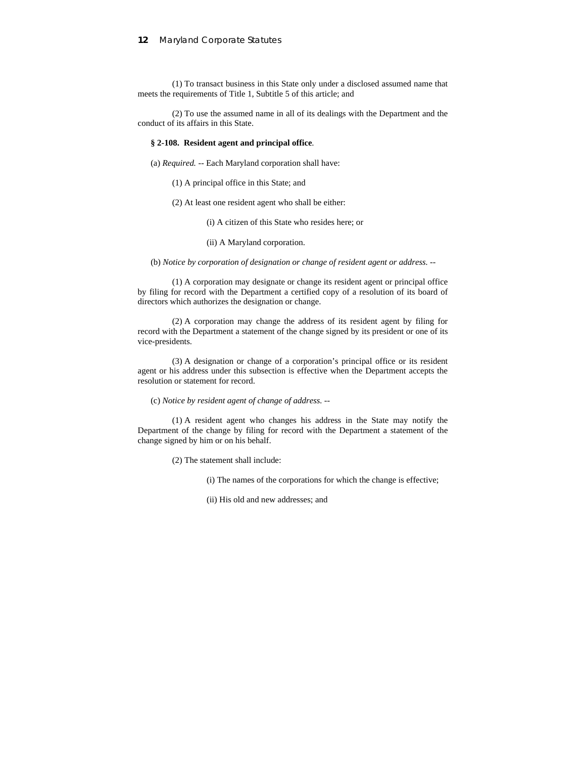(1) To transact business in this State only under a disclosed assumed name that meets the requirements of Title 1, Subtitle 5 of this article; and

(2) To use the assumed name in all of its dealings with the Department and the conduct of its affairs in this State.

#### **§ 2-108. Resident agent and principal office**.

(a) *Required.* -- Each Maryland corporation shall have:

- (1) A principal office in this State; and
- (2) At least one resident agent who shall be either:
	- (i) A citizen of this State who resides here; or
	- (ii) A Maryland corporation.

(b) *Notice by corporation of designation or change of resident agent or address.* --

(1) A corporation may designate or change its resident agent or principal office by filing for record with the Department a certified copy of a resolution of its board of directors which authorizes the designation or change.

(2) A corporation may change the address of its resident agent by filing for record with the Department a statement of the change signed by its president or one of its vice-presidents.

(3) A designation or change of a corporation's principal office or its resident agent or his address under this subsection is effective when the Department accepts the resolution or statement for record.

## (c) *Notice by resident agent of change of address.* --

(1) A resident agent who changes his address in the State may notify the Department of the change by filing for record with the Department a statement of the change signed by him or on his behalf.

- (2) The statement shall include:
	- (i) The names of the corporations for which the change is effective;
	- (ii) His old and new addresses; and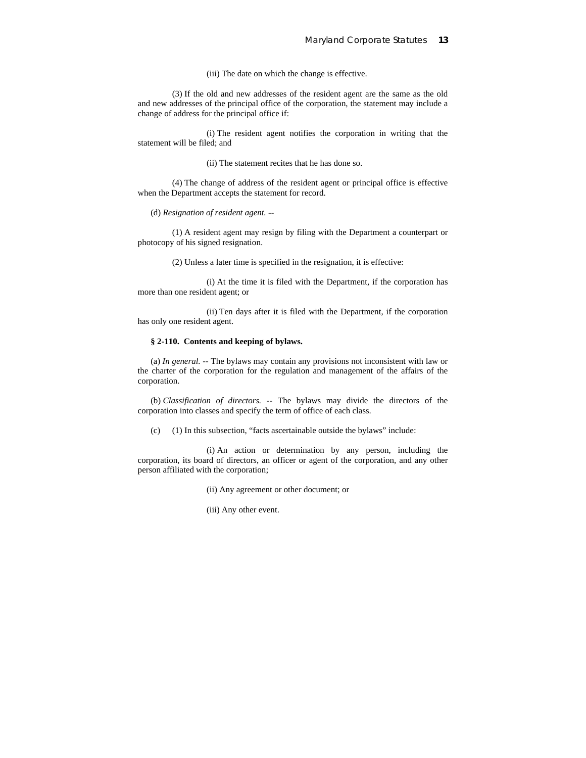(iii) The date on which the change is effective.

(3) If the old and new addresses of the resident agent are the same as the old and new addresses of the principal office of the corporation, the statement may include a change of address for the principal office if:

(i) The resident agent notifies the corporation in writing that the statement will be filed; and

(ii) The statement recites that he has done so.

(4) The change of address of the resident agent or principal office is effective when the Department accepts the statement for record.

(d) *Resignation of resident agent.* --

(1) A resident agent may resign by filing with the Department a counterpart or photocopy of his signed resignation.

(2) Unless a later time is specified in the resignation, it is effective:

(i) At the time it is filed with the Department, if the corporation has more than one resident agent; or

(ii) Ten days after it is filed with the Department, if the corporation has only one resident agent.

### **§ 2-110. Contents and keeping of bylaws.**

(a) *In general.* -- The bylaws may contain any provisions not inconsistent with law or the charter of the corporation for the regulation and management of the affairs of the corporation.

(b) *Classification of directors.* -- The bylaws may divide the directors of the corporation into classes and specify the term of office of each class.

(c) (1) In this subsection, "facts ascertainable outside the bylaws" include:

(i) An action or determination by any person, including the corporation, its board of directors, an officer or agent of the corporation, and any other person affiliated with the corporation;

- (ii) Any agreement or other document; or
- (iii) Any other event.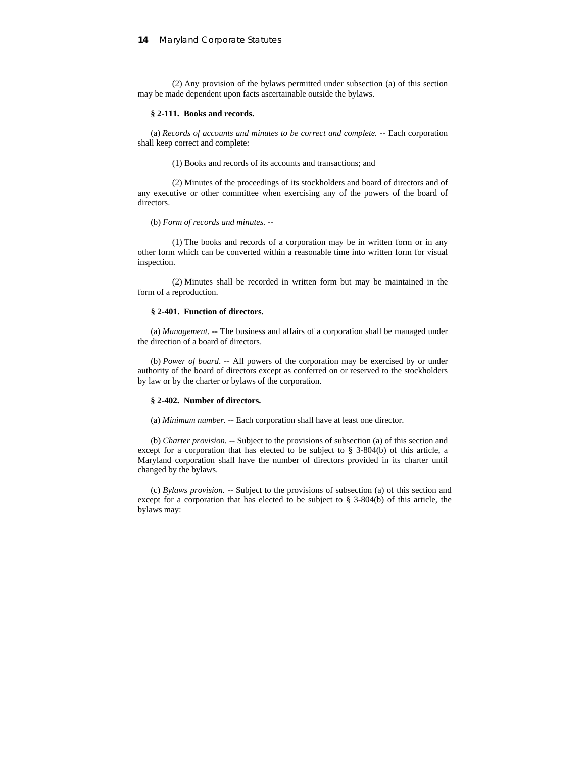(2) Any provision of the bylaws permitted under subsection (a) of this section may be made dependent upon facts ascertainable outside the bylaws.

#### **§ 2-111. Books and records.**

(a) *Records of accounts and minutes to be correct and complete.* -- Each corporation shall keep correct and complete:

(1) Books and records of its accounts and transactions; and

(2) Minutes of the proceedings of its stockholders and board of directors and of any executive or other committee when exercising any of the powers of the board of directors.

#### (b) *Form of records and minutes.* --

(1) The books and records of a corporation may be in written form or in any other form which can be converted within a reasonable time into written form for visual inspection.

(2) Minutes shall be recorded in written form but may be maintained in the form of a reproduction.

## **§ 2-401. Function of directors.**

(a) *Management*. -- The business and affairs of a corporation shall be managed under the direction of a board of directors.

(b) *Power of board*. -- All powers of the corporation may be exercised by or under authority of the board of directors except as conferred on or reserved to the stockholders by law or by the charter or bylaws of the corporation.

#### **§ 2-402. Number of directors.**

(a) *Minimum number.* -- Each corporation shall have at least one director.

(b) *Charter provision.* -- Subject to the provisions of subsection (a) of this section and except for a corporation that has elected to be subject to § 3-804(b) of this article, a Maryland corporation shall have the number of directors provided in its charter until changed by the bylaws.

(c) *Bylaws provision.* -- Subject to the provisions of subsection (a) of this section and except for a corporation that has elected to be subject to § 3-804(b) of this article, the bylaws may: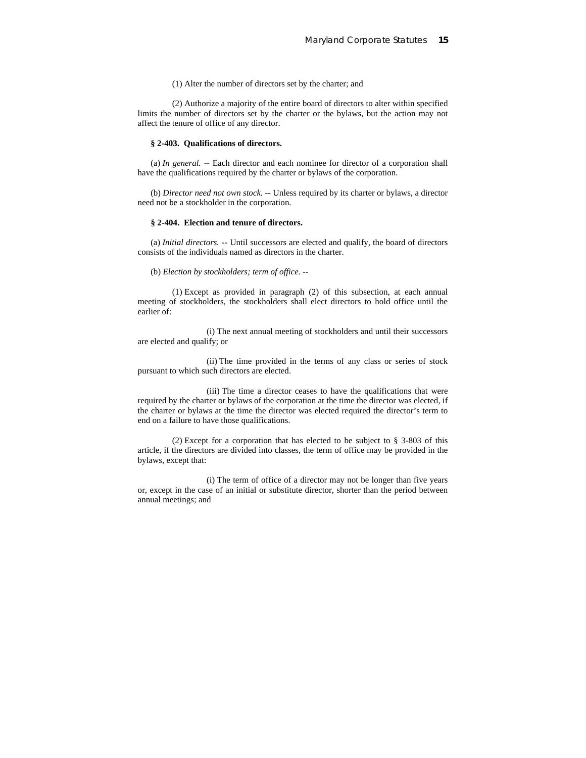## (1) Alter the number of directors set by the charter; and

(2) Authorize a majority of the entire board of directors to alter within specified limits the number of directors set by the charter or the bylaws, but the action may not affect the tenure of office of any director.

#### **§ 2-403. Qualifications of directors.**

(a) *In general.* -- Each director and each nominee for director of a corporation shall have the qualifications required by the charter or bylaws of the corporation.

(b) *Director need not own stock.* -- Unless required by its charter or bylaws, a director need not be a stockholder in the corporation.

#### **§ 2-404. Election and tenure of directors.**

(a) *Initial directors.* -- Until successors are elected and qualify, the board of directors consists of the individuals named as directors in the charter.

(b) *Election by stockholders; term of office.* --

(1) Except as provided in paragraph (2) of this subsection, at each annual meeting of stockholders, the stockholders shall elect directors to hold office until the earlier of:

(i) The next annual meeting of stockholders and until their successors are elected and qualify; or

(ii) The time provided in the terms of any class or series of stock pursuant to which such directors are elected.

(iii) The time a director ceases to have the qualifications that were required by the charter or bylaws of the corporation at the time the director was elected, if the charter or bylaws at the time the director was elected required the director's term to end on a failure to have those qualifications.

(2) Except for a corporation that has elected to be subject to § 3-803 of this article, if the directors are divided into classes, the term of office may be provided in the bylaws, except that:

(i) The term of office of a director may not be longer than five years or, except in the case of an initial or substitute director, shorter than the period between annual meetings; and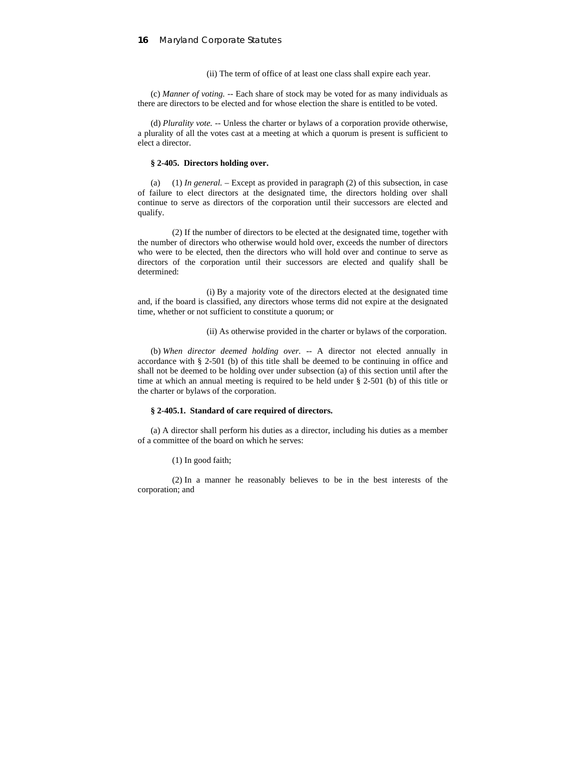(ii) The term of office of at least one class shall expire each year.

(c) *Manner of voting.* -- Each share of stock may be voted for as many individuals as there are directors to be elected and for whose election the share is entitled to be voted.

(d) *Plurality vote.* -- Unless the charter or bylaws of a corporation provide otherwise, a plurality of all the votes cast at a meeting at which a quorum is present is sufficient to elect a director.

#### **§ 2-405. Directors holding over.**

(a) (1) *In general.* – Except as provided in paragraph (2) of this subsection, in case of failure to elect directors at the designated time, the directors holding over shall continue to serve as directors of the corporation until their successors are elected and qualify.

(2) If the number of directors to be elected at the designated time, together with the number of directors who otherwise would hold over, exceeds the number of directors who were to be elected, then the directors who will hold over and continue to serve as directors of the corporation until their successors are elected and qualify shall be determined:

(i) By a majority vote of the directors elected at the designated time and, if the board is classified, any directors whose terms did not expire at the designated time, whether or not sufficient to constitute a quorum; or

(ii) As otherwise provided in the charter or bylaws of the corporation.

(b) *When director deemed holding over.* -- A director not elected annually in accordance with § 2-501 (b) of this title shall be deemed to be continuing in office and shall not be deemed to be holding over under subsection (a) of this section until after the time at which an annual meeting is required to be held under § 2-501 (b) of this title or the charter or bylaws of the corporation.

### **§ 2-405.1. Standard of care required of directors.**

(a) A director shall perform his duties as a director, including his duties as a member of a committee of the board on which he serves:

(1) In good faith;

(2) In a manner he reasonably believes to be in the best interests of the corporation; and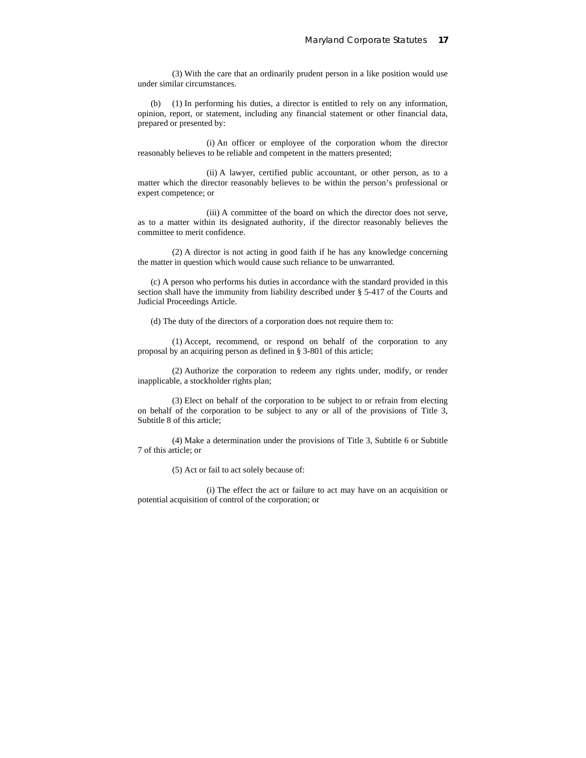(3) With the care that an ordinarily prudent person in a like position would use under similar circumstances.

(b) (1) In performing his duties, a director is entitled to rely on any information, opinion, report, or statement, including any financial statement or other financial data, prepared or presented by:

(i) An officer or employee of the corporation whom the director reasonably believes to be reliable and competent in the matters presented;

(ii) A lawyer, certified public accountant, or other person, as to a matter which the director reasonably believes to be within the person's professional or expert competence; or

(iii) A committee of the board on which the director does not serve, as to a matter within its designated authority, if the director reasonably believes the committee to merit confidence.

(2) A director is not acting in good faith if he has any knowledge concerning the matter in question which would cause such reliance to be unwarranted.

(c) A person who performs his duties in accordance with the standard provided in this section shall have the immunity from liability described under § 5-417 of the Courts and Judicial Proceedings Article.

(d) The duty of the directors of a corporation does not require them to:

(1) Accept, recommend, or respond on behalf of the corporation to any proposal by an acquiring person as defined in § 3-801 of this article;

(2) Authorize the corporation to redeem any rights under, modify, or render inapplicable, a stockholder rights plan;

(3) Elect on behalf of the corporation to be subject to or refrain from electing on behalf of the corporation to be subject to any or all of the provisions of Title 3, Subtitle 8 of this article;

(4) Make a determination under the provisions of Title 3, Subtitle 6 or Subtitle 7 of this article; or

(5) Act or fail to act solely because of:

(i) The effect the act or failure to act may have on an acquisition or potential acquisition of control of the corporation; or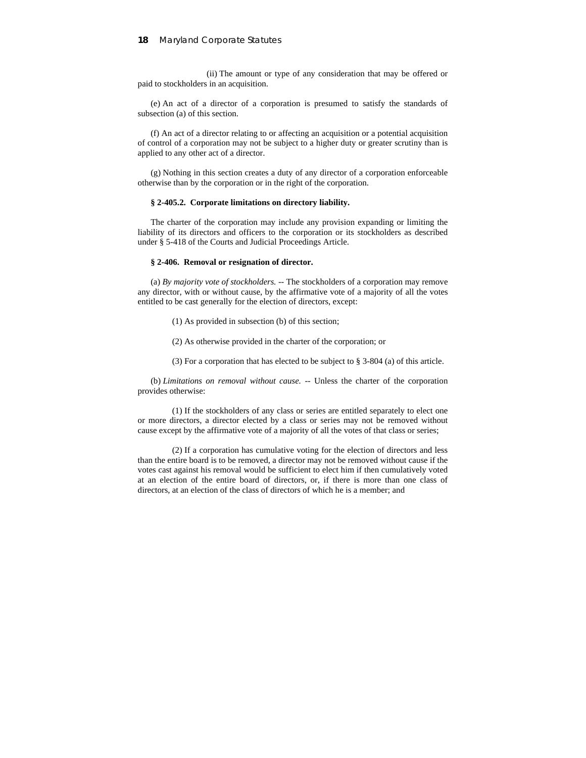(ii) The amount or type of any consideration that may be offered or paid to stockholders in an acquisition.

(e) An act of a director of a corporation is presumed to satisfy the standards of subsection (a) of this section.

(f) An act of a director relating to or affecting an acquisition or a potential acquisition of control of a corporation may not be subject to a higher duty or greater scrutiny than is applied to any other act of a director.

(g) Nothing in this section creates a duty of any director of a corporation enforceable otherwise than by the corporation or in the right of the corporation.

#### **§ 2-405.2. Corporate limitations on directory liability.**

The charter of the corporation may include any provision expanding or limiting the liability of its directors and officers to the corporation or its stockholders as described under § 5-418 of the Courts and Judicial Proceedings Article.

#### **§ 2-406. Removal or resignation of director.**

(a) *By majority vote of stockholders.* -- The stockholders of a corporation may remove any director, with or without cause, by the affirmative vote of a majority of all the votes entitled to be cast generally for the election of directors, except:

(1) As provided in subsection (b) of this section;

(2) As otherwise provided in the charter of the corporation; or

(3) For a corporation that has elected to be subject to § 3-804 (a) of this article.

(b) *Limitations on removal without cause.* -- Unless the charter of the corporation provides otherwise:

(1) If the stockholders of any class or series are entitled separately to elect one or more directors, a director elected by a class or series may not be removed without cause except by the affirmative vote of a majority of all the votes of that class or series;

(2) If a corporation has cumulative voting for the election of directors and less than the entire board is to be removed, a director may not be removed without cause if the votes cast against his removal would be sufficient to elect him if then cumulatively voted at an election of the entire board of directors, or, if there is more than one class of directors, at an election of the class of directors of which he is a member; and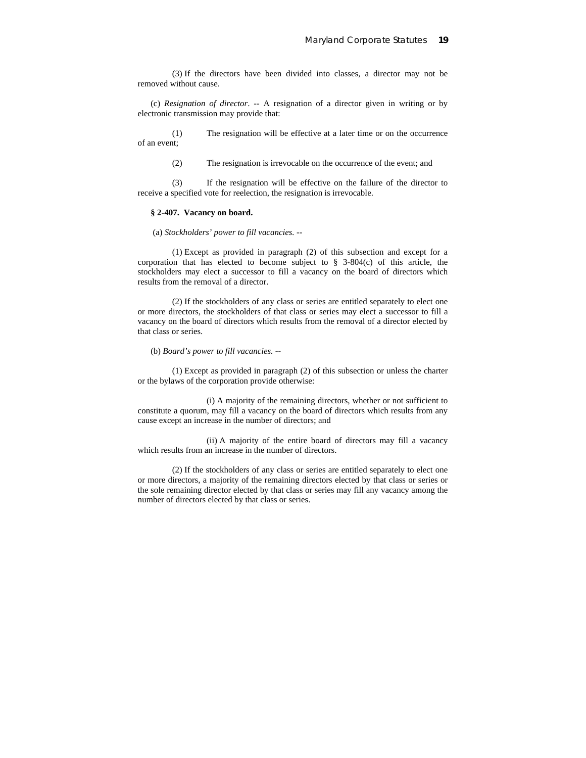(3) If the directors have been divided into classes, a director may not be removed without cause.

(c) *Resignation of director*. -- A resignation of a director given in writing or by electronic transmission may provide that:

(1) The resignation will be effective at a later time or on the occurrence of an event;

(2) The resignation is irrevocable on the occurrence of the event; and

(3) If the resignation will be effective on the failure of the director to receive a specified vote for reelection, the resignation is irrevocable.

### **§ 2-407. Vacancy on board.**

(a) *Stockholders' power to fill vacancies.* --

(1) Except as provided in paragraph (2) of this subsection and except for a corporation that has elected to become subject to § 3-804(c) of this article, the stockholders may elect a successor to fill a vacancy on the board of directors which results from the removal of a director.

(2) If the stockholders of any class or series are entitled separately to elect one or more directors, the stockholders of that class or series may elect a successor to fill a vacancy on the board of directors which results from the removal of a director elected by that class or series.

(b) *Board's power to fill vacancies.* --

(1) Except as provided in paragraph (2) of this subsection or unless the charter or the bylaws of the corporation provide otherwise:

(i) A majority of the remaining directors, whether or not sufficient to constitute a quorum, may fill a vacancy on the board of directors which results from any cause except an increase in the number of directors; and

(ii) A majority of the entire board of directors may fill a vacancy which results from an increase in the number of directors.

(2) If the stockholders of any class or series are entitled separately to elect one or more directors, a majority of the remaining directors elected by that class or series or the sole remaining director elected by that class or series may fill any vacancy among the number of directors elected by that class or series.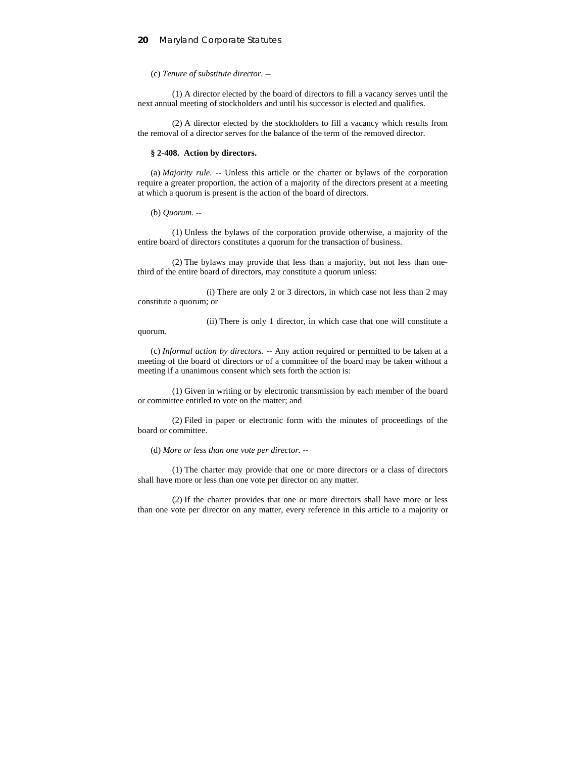(c) *Tenure of substitute director.* --

(1) A director elected by the board of directors to fill a vacancy serves until the next annual meeting of stockholders and until his successor is elected and qualifies.

(2) A director elected by the stockholders to fill a vacancy which results from the removal of a director serves for the balance of the term of the removed director.

#### **§ 2-408. Action by directors.**

(a) *Majority rule.* -- Unless this article or the charter or bylaws of the corporation require a greater proportion, the action of a majority of the directors present at a meeting at which a quorum is present is the action of the board of directors.

(b) *Quorum.* --

(1) Unless the bylaws of the corporation provide otherwise, a majority of the entire board of directors constitutes a quorum for the transaction of business.

(2) The bylaws may provide that less than a majority, but not less than onethird of the entire board of directors, may constitute a quorum unless:

(i) There are only 2 or 3 directors, in which case not less than 2 may constitute a quorum; or

(ii) There is only 1 director, in which case that one will constitute a quorum.

(c) *Informal action by directors.* -- Any action required or permitted to be taken at a meeting of the board of directors or of a committee of the board may be taken without a meeting if a unanimous consent which sets forth the action is:

(1) Given in writing or by electronic transmission by each member of the board or committee entitled to vote on the matter; and

(2) Filed in paper or electronic form with the minutes of proceedings of the board or committee.

(d) *More or less than one vote per director.* --

(1) The charter may provide that one or more directors or a class of directors shall have more or less than one vote per director on any matter.

(2) If the charter provides that one or more directors shall have more or less than one vote per director on any matter, every reference in this article to a majority or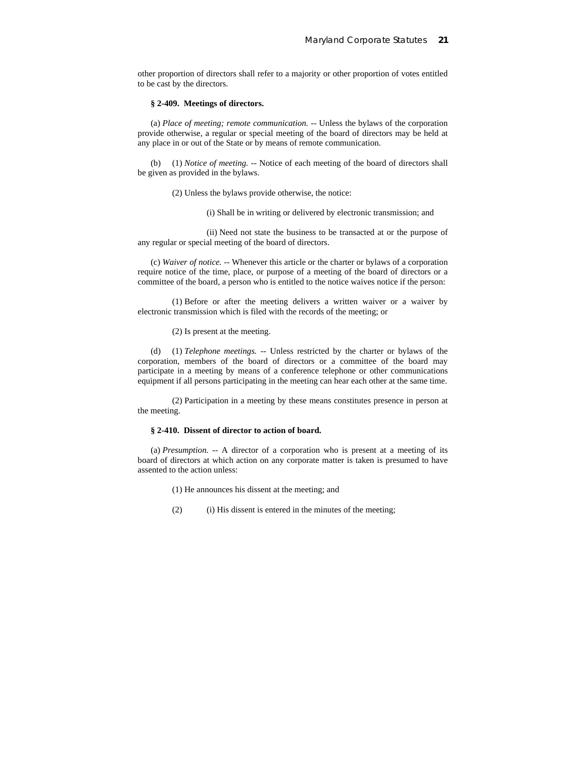other proportion of directors shall refer to a majority or other proportion of votes entitled to be cast by the directors.

#### **§ 2-409. Meetings of directors.**

(a) *Place of meeting; remote communication.* -- Unless the bylaws of the corporation provide otherwise, a regular or special meeting of the board of directors may be held at any place in or out of the State or by means of remote communication.

(b) (1) *Notice of meeting.* -- Notice of each meeting of the board of directors shall be given as provided in the bylaws.

(2) Unless the bylaws provide otherwise, the notice:

(i) Shall be in writing or delivered by electronic transmission; and

(ii) Need not state the business to be transacted at or the purpose of any regular or special meeting of the board of directors.

(c) *Waiver of notice.* -- Whenever this article or the charter or bylaws of a corporation require notice of the time, place, or purpose of a meeting of the board of directors or a committee of the board, a person who is entitled to the notice waives notice if the person:

(1) Before or after the meeting delivers a written waiver or a waiver by electronic transmission which is filed with the records of the meeting; or

(2) Is present at the meeting.

(d) (1) *Telephone meetings.* -- Unless restricted by the charter or bylaws of the corporation, members of the board of directors or a committee of the board may participate in a meeting by means of a conference telephone or other communications equipment if all persons participating in the meeting can hear each other at the same time.

(2) Participation in a meeting by these means constitutes presence in person at the meeting.

### **§ 2-410. Dissent of director to action of board.**

(a) *Presumption.* -- A director of a corporation who is present at a meeting of its board of directors at which action on any corporate matter is taken is presumed to have assented to the action unless:

- (1) He announces his dissent at the meeting; and
- (2) (i) His dissent is entered in the minutes of the meeting;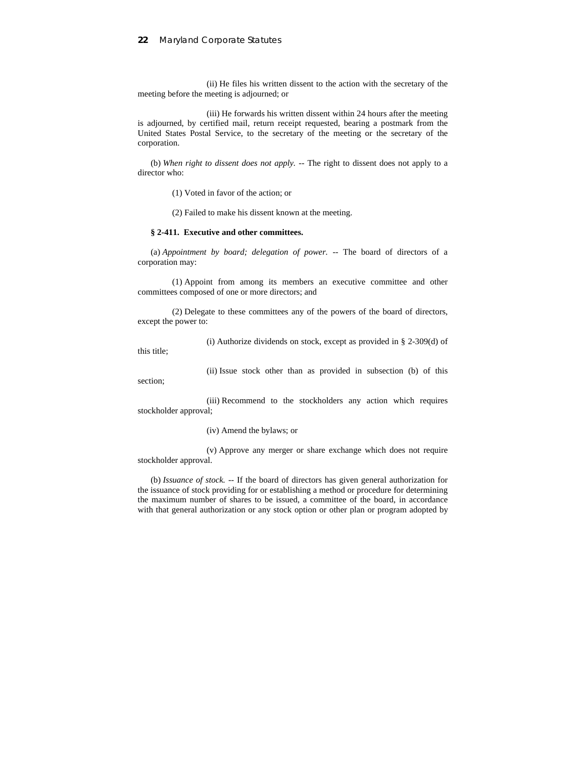(ii) He files his written dissent to the action with the secretary of the meeting before the meeting is adjourned; or

(iii) He forwards his written dissent within 24 hours after the meeting is adjourned, by certified mail, return receipt requested, bearing a postmark from the United States Postal Service, to the secretary of the meeting or the secretary of the corporation.

(b) *When right to dissent does not apply.* -- The right to dissent does not apply to a director who:

(1) Voted in favor of the action; or

(2) Failed to make his dissent known at the meeting.

## **§ 2-411. Executive and other committees.**

(a) *Appointment by board; delegation of power.* -- The board of directors of a corporation may:

(1) Appoint from among its members an executive committee and other committees composed of one or more directors; and

(2) Delegate to these committees any of the powers of the board of directors, except the power to:

(i) Authorize dividends on stock, except as provided in  $\S$  2-309(d) of

this title;

section;

(ii) Issue stock other than as provided in subsection (b) of this

(iii) Recommend to the stockholders any action which requires stockholder approval;

#### (iv) Amend the bylaws; or

(v) Approve any merger or share exchange which does not require stockholder approval.

(b) *Issuance of stock.* -- If the board of directors has given general authorization for the issuance of stock providing for or establishing a method or procedure for determining the maximum number of shares to be issued, a committee of the board, in accordance with that general authorization or any stock option or other plan or program adopted by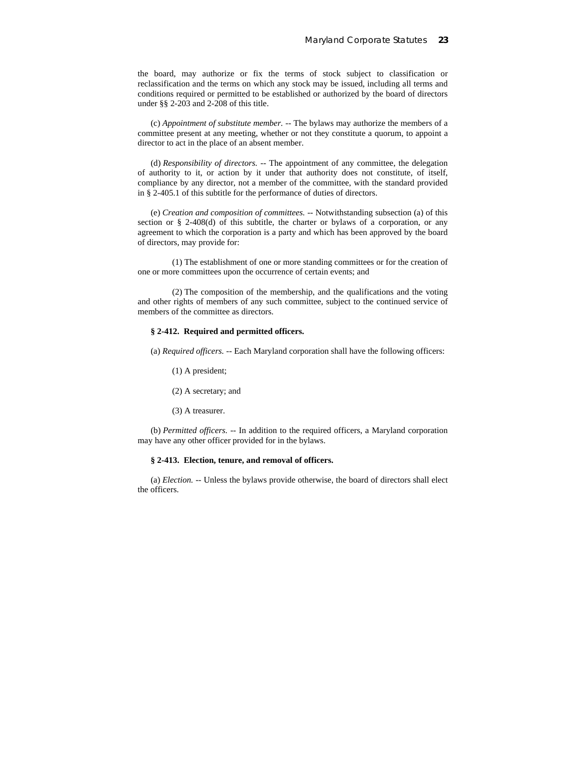the board, may authorize or fix the terms of stock subject to classification or reclassification and the terms on which any stock may be issued, including all terms and conditions required or permitted to be established or authorized by the board of directors under §§ 2-203 and 2-208 of this title.

(c) *Appointment of substitute member.* -- The bylaws may authorize the members of a committee present at any meeting, whether or not they constitute a quorum, to appoint a director to act in the place of an absent member.

(d) *Responsibility of directors.* -- The appointment of any committee, the delegation of authority to it, or action by it under that authority does not constitute, of itself, compliance by any director, not a member of the committee, with the standard provided in § 2-405.1 of this subtitle for the performance of duties of directors.

(e) *Creation and composition of committees.* -- Notwithstanding subsection (a) of this section or  $\S$  2-408(d) of this subtitle, the charter or bylaws of a corporation, or any agreement to which the corporation is a party and which has been approved by the board of directors, may provide for:

(1) The establishment of one or more standing committees or for the creation of one or more committees upon the occurrence of certain events; and

(2) The composition of the membership, and the qualifications and the voting and other rights of members of any such committee, subject to the continued service of members of the committee as directors.

## **§ 2-412. Required and permitted officers.**

(a) *Required officers.* -- Each Maryland corporation shall have the following officers:

- (1) A president;
- (2) A secretary; and
- (3) A treasurer.

(b) *Permitted officers.* -- In addition to the required officers, a Maryland corporation may have any other officer provided for in the bylaws.

#### **§ 2-413. Election, tenure, and removal of officers.**

(a) *Election.* -- Unless the bylaws provide otherwise, the board of directors shall elect the officers.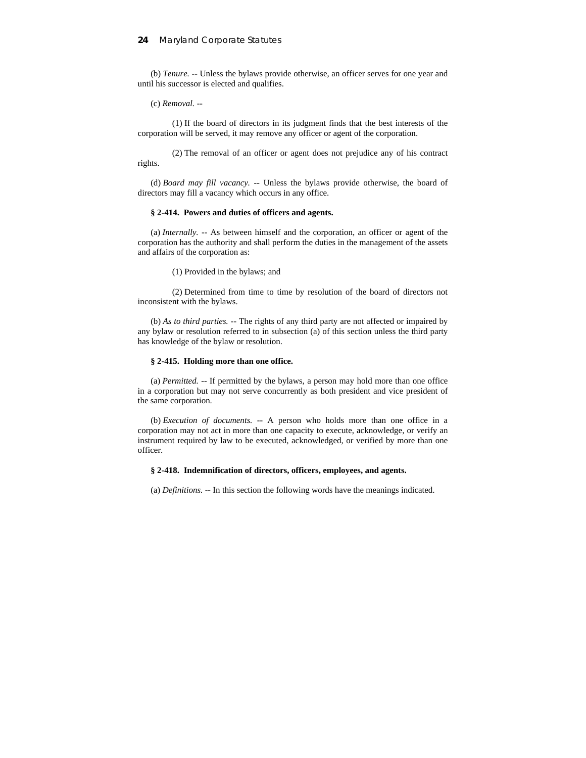(b) *Tenure.* -- Unless the bylaws provide otherwise, an officer serves for one year and until his successor is elected and qualifies.

(c) *Removal.* --

(1) If the board of directors in its judgment finds that the best interests of the corporation will be served, it may remove any officer or agent of the corporation.

(2) The removal of an officer or agent does not prejudice any of his contract rights.

(d) *Board may fill vacancy.* -- Unless the bylaws provide otherwise, the board of directors may fill a vacancy which occurs in any office.

#### **§ 2-414. Powers and duties of officers and agents.**

(a) *Internally.* -- As between himself and the corporation, an officer or agent of the corporation has the authority and shall perform the duties in the management of the assets and affairs of the corporation as:

(1) Provided in the bylaws; and

(2) Determined from time to time by resolution of the board of directors not inconsistent with the bylaws.

(b) *As to third parties.* -- The rights of any third party are not affected or impaired by any bylaw or resolution referred to in subsection (a) of this section unless the third party has knowledge of the bylaw or resolution.

#### **§ 2-415. Holding more than one office.**

(a) *Permitted.* -- If permitted by the bylaws, a person may hold more than one office in a corporation but may not serve concurrently as both president and vice president of the same corporation.

(b) *Execution of documents.* -- A person who holds more than one office in a corporation may not act in more than one capacity to execute, acknowledge, or verify an instrument required by law to be executed, acknowledged, or verified by more than one officer.

#### **§ 2-418. Indemnification of directors, officers, employees, and agents.**

(a) *Definitions.* -- In this section the following words have the meanings indicated.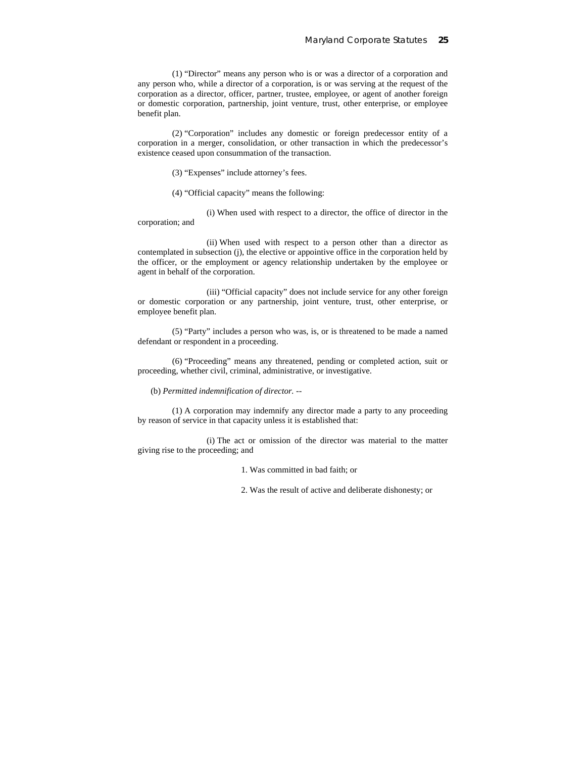(1) "Director" means any person who is or was a director of a corporation and any person who, while a director of a corporation, is or was serving at the request of the corporation as a director, officer, partner, trustee, employee, or agent of another foreign or domestic corporation, partnership, joint venture, trust, other enterprise, or employee benefit plan.

(2) "Corporation" includes any domestic or foreign predecessor entity of a corporation in a merger, consolidation, or other transaction in which the predecessor's existence ceased upon consummation of the transaction.

- (3) "Expenses" include attorney's fees.
- (4) "Official capacity" means the following:

(i) When used with respect to a director, the office of director in the corporation; and

(ii) When used with respect to a person other than a director as contemplated in subsection (j), the elective or appointive office in the corporation held by the officer, or the employment or agency relationship undertaken by the employee or agent in behalf of the corporation.

(iii) "Official capacity" does not include service for any other foreign or domestic corporation or any partnership, joint venture, trust, other enterprise, or employee benefit plan.

(5) "Party" includes a person who was, is, or is threatened to be made a named defendant or respondent in a proceeding.

(6) "Proceeding" means any threatened, pending or completed action, suit or proceeding, whether civil, criminal, administrative, or investigative.

(b) *Permitted indemnification of director.* --

(1) A corporation may indemnify any director made a party to any proceeding by reason of service in that capacity unless it is established that:

(i) The act or omission of the director was material to the matter giving rise to the proceeding; and

1. Was committed in bad faith; or

2. Was the result of active and deliberate dishonesty; or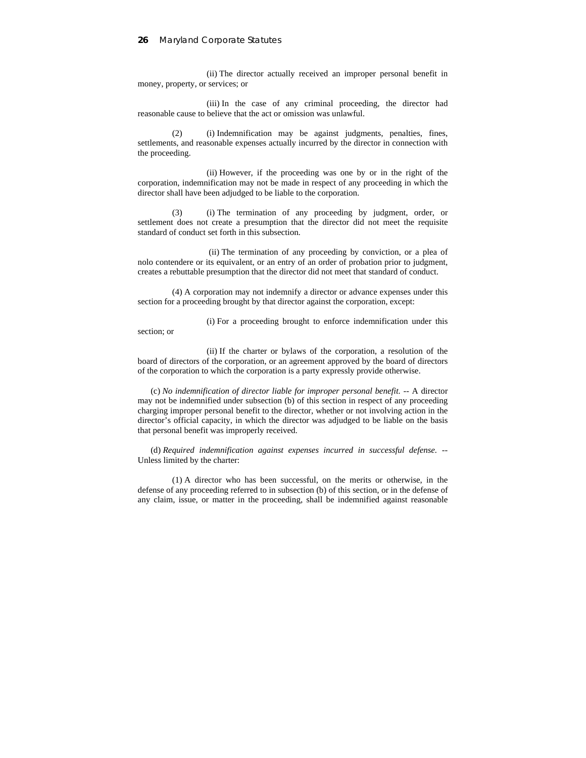(ii) The director actually received an improper personal benefit in money, property, or services; or

(iii) In the case of any criminal proceeding, the director had reasonable cause to believe that the act or omission was unlawful.

(2) (i) Indemnification may be against judgments, penalties, fines, settlements, and reasonable expenses actually incurred by the director in connection with the proceeding.

(ii) However, if the proceeding was one by or in the right of the corporation, indemnification may not be made in respect of any proceeding in which the director shall have been adjudged to be liable to the corporation.

(3) (i) The termination of any proceeding by judgment, order, or settlement does not create a presumption that the director did not meet the requisite standard of conduct set forth in this subsection.

(ii) The termination of any proceeding by conviction, or a plea of nolo contendere or its equivalent, or an entry of an order of probation prior to judgment, creates a rebuttable presumption that the director did not meet that standard of conduct.

(4) A corporation may not indemnify a director or advance expenses under this section for a proceeding brought by that director against the corporation, except:

(i) For a proceeding brought to enforce indemnification under this section; or

(ii) If the charter or bylaws of the corporation, a resolution of the board of directors of the corporation, or an agreement approved by the board of directors of the corporation to which the corporation is a party expressly provide otherwise.

(c) *No indemnification of director liable for improper personal benefit.* -- A director may not be indemnified under subsection (b) of this section in respect of any proceeding charging improper personal benefit to the director, whether or not involving action in the director's official capacity, in which the director was adjudged to be liable on the basis that personal benefit was improperly received.

(d) *Required indemnification against expenses incurred in successful defense.* -- Unless limited by the charter:

(1) A director who has been successful, on the merits or otherwise, in the defense of any proceeding referred to in subsection (b) of this section, or in the defense of any claim, issue, or matter in the proceeding, shall be indemnified against reasonable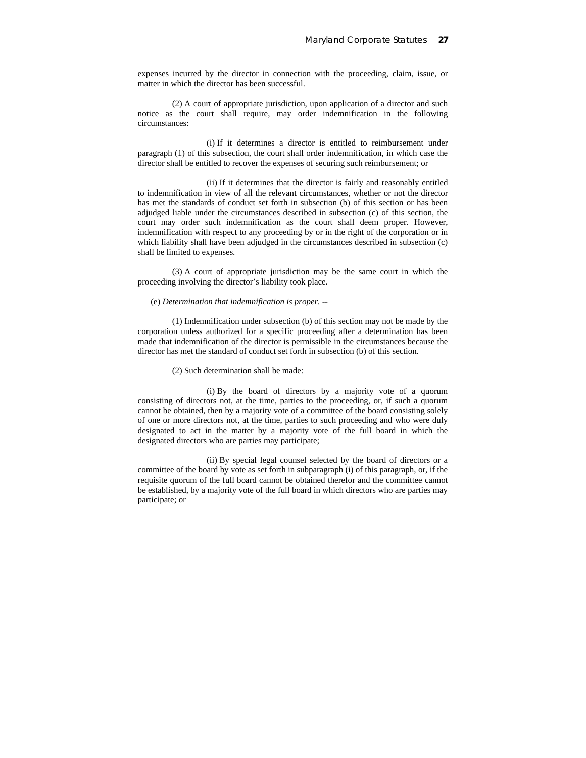expenses incurred by the director in connection with the proceeding, claim, issue, or matter in which the director has been successful.

(2) A court of appropriate jurisdiction, upon application of a director and such notice as the court shall require, may order indemnification in the following circumstances:

(i) If it determines a director is entitled to reimbursement under paragraph (1) of this subsection, the court shall order indemnification, in which case the director shall be entitled to recover the expenses of securing such reimbursement; or

(ii) If it determines that the director is fairly and reasonably entitled to indemnification in view of all the relevant circumstances, whether or not the director has met the standards of conduct set forth in subsection (b) of this section or has been adjudged liable under the circumstances described in subsection (c) of this section, the court may order such indemnification as the court shall deem proper. However, indemnification with respect to any proceeding by or in the right of the corporation or in which liability shall have been adjudged in the circumstances described in subsection (c) shall be limited to expenses.

(3) A court of appropriate jurisdiction may be the same court in which the proceeding involving the director's liability took place.

#### (e) *Determination that indemnification is proper.* --

(1) Indemnification under subsection (b) of this section may not be made by the corporation unless authorized for a specific proceeding after a determination has been made that indemnification of the director is permissible in the circumstances because the director has met the standard of conduct set forth in subsection (b) of this section.

#### (2) Such determination shall be made:

(i) By the board of directors by a majority vote of a quorum consisting of directors not, at the time, parties to the proceeding, or, if such a quorum cannot be obtained, then by a majority vote of a committee of the board consisting solely of one or more directors not, at the time, parties to such proceeding and who were duly designated to act in the matter by a majority vote of the full board in which the designated directors who are parties may participate;

(ii) By special legal counsel selected by the board of directors or a committee of the board by vote as set forth in subparagraph (i) of this paragraph, or, if the requisite quorum of the full board cannot be obtained therefor and the committee cannot be established, by a majority vote of the full board in which directors who are parties may participate; or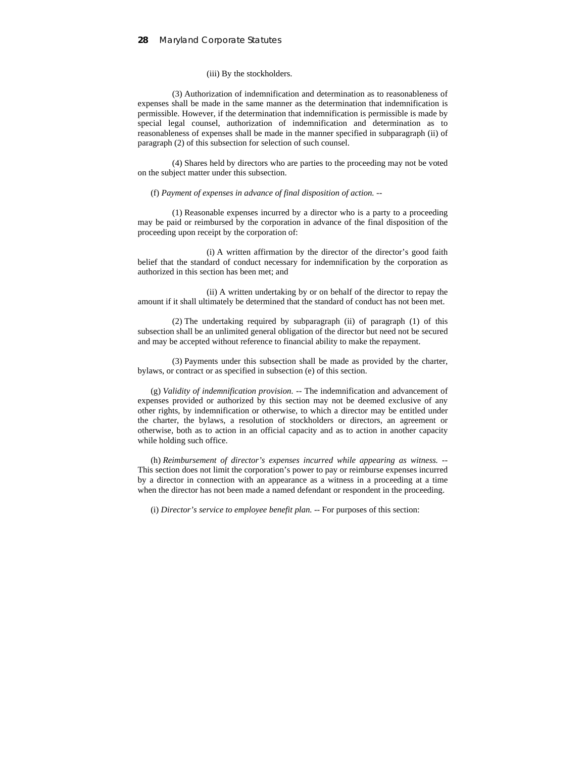#### (iii) By the stockholders.

(3) Authorization of indemnification and determination as to reasonableness of expenses shall be made in the same manner as the determination that indemnification is permissible. However, if the determination that indemnification is permissible is made by special legal counsel, authorization of indemnification and determination as to reasonableness of expenses shall be made in the manner specified in subparagraph (ii) of paragraph (2) of this subsection for selection of such counsel.

(4) Shares held by directors who are parties to the proceeding may not be voted on the subject matter under this subsection.

#### (f) *Payment of expenses in advance of final disposition of action.* --

(1) Reasonable expenses incurred by a director who is a party to a proceeding may be paid or reimbursed by the corporation in advance of the final disposition of the proceeding upon receipt by the corporation of:

(i) A written affirmation by the director of the director's good faith belief that the standard of conduct necessary for indemnification by the corporation as authorized in this section has been met; and

(ii) A written undertaking by or on behalf of the director to repay the amount if it shall ultimately be determined that the standard of conduct has not been met.

(2) The undertaking required by subparagraph (ii) of paragraph (1) of this subsection shall be an unlimited general obligation of the director but need not be secured and may be accepted without reference to financial ability to make the repayment.

(3) Payments under this subsection shall be made as provided by the charter, bylaws, or contract or as specified in subsection (e) of this section.

(g) *Validity of indemnification provision.* -- The indemnification and advancement of expenses provided or authorized by this section may not be deemed exclusive of any other rights, by indemnification or otherwise, to which a director may be entitled under the charter, the bylaws, a resolution of stockholders or directors, an agreement or otherwise, both as to action in an official capacity and as to action in another capacity while holding such office.

(h) *Reimbursement of director's expenses incurred while appearing as witness.* -- This section does not limit the corporation's power to pay or reimburse expenses incurred by a director in connection with an appearance as a witness in a proceeding at a time when the director has not been made a named defendant or respondent in the proceeding.

(i) *Director's service to employee benefit plan.* -- For purposes of this section: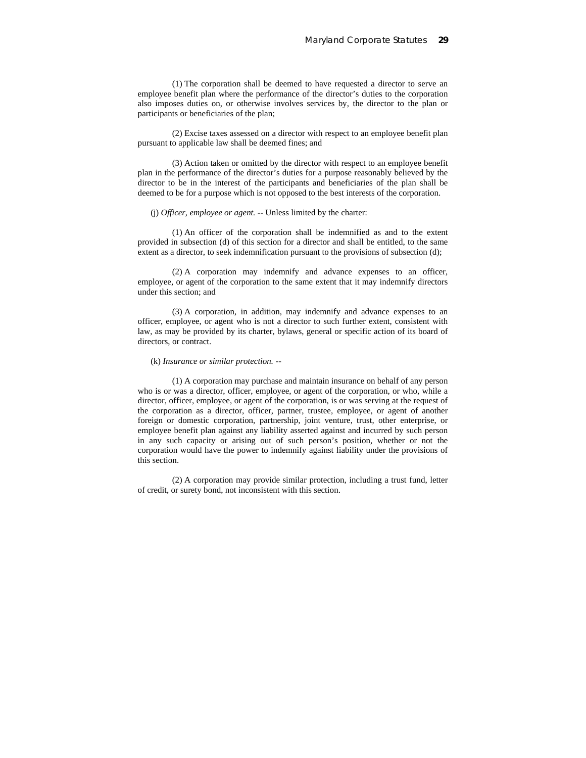(1) The corporation shall be deemed to have requested a director to serve an employee benefit plan where the performance of the director's duties to the corporation also imposes duties on, or otherwise involves services by, the director to the plan or participants or beneficiaries of the plan;

(2) Excise taxes assessed on a director with respect to an employee benefit plan pursuant to applicable law shall be deemed fines; and

(3) Action taken or omitted by the director with respect to an employee benefit plan in the performance of the director's duties for a purpose reasonably believed by the director to be in the interest of the participants and beneficiaries of the plan shall be deemed to be for a purpose which is not opposed to the best interests of the corporation.

#### (j) *Officer, employee or agent.* -- Unless limited by the charter:

(1) An officer of the corporation shall be indemnified as and to the extent provided in subsection (d) of this section for a director and shall be entitled, to the same extent as a director, to seek indemnification pursuant to the provisions of subsection (d);

(2) A corporation may indemnify and advance expenses to an officer, employee, or agent of the corporation to the same extent that it may indemnify directors under this section; and

(3) A corporation, in addition, may indemnify and advance expenses to an officer, employee, or agent who is not a director to such further extent, consistent with law, as may be provided by its charter, bylaws, general or specific action of its board of directors, or contract.

#### (k) *Insurance or similar protection.* --

(1) A corporation may purchase and maintain insurance on behalf of any person who is or was a director, officer, employee, or agent of the corporation, or who, while a director, officer, employee, or agent of the corporation, is or was serving at the request of the corporation as a director, officer, partner, trustee, employee, or agent of another foreign or domestic corporation, partnership, joint venture, trust, other enterprise, or employee benefit plan against any liability asserted against and incurred by such person in any such capacity or arising out of such person's position, whether or not the corporation would have the power to indemnify against liability under the provisions of this section.

(2) A corporation may provide similar protection, including a trust fund, letter of credit, or surety bond, not inconsistent with this section.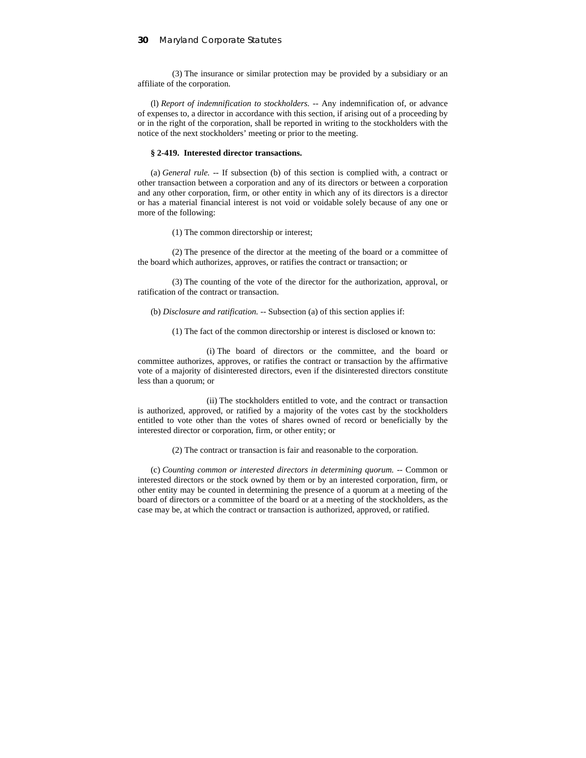(3) The insurance or similar protection may be provided by a subsidiary or an affiliate of the corporation.

(l) *Report of indemnification to stockholders.* -- Any indemnification of, or advance of expenses to, a director in accordance with this section, if arising out of a proceeding by or in the right of the corporation, shall be reported in writing to the stockholders with the notice of the next stockholders' meeting or prior to the meeting.

#### **§ 2-419. Interested director transactions.**

(a) *General rule.* -- If subsection (b) of this section is complied with, a contract or other transaction between a corporation and any of its directors or between a corporation and any other corporation, firm, or other entity in which any of its directors is a director or has a material financial interest is not void or voidable solely because of any one or more of the following:

(1) The common directorship or interest;

(2) The presence of the director at the meeting of the board or a committee of the board which authorizes, approves, or ratifies the contract or transaction; or

(3) The counting of the vote of the director for the authorization, approval, or ratification of the contract or transaction.

(b) *Disclosure and ratification.* -- Subsection (a) of this section applies if:

(1) The fact of the common directorship or interest is disclosed or known to:

(i) The board of directors or the committee, and the board or committee authorizes, approves, or ratifies the contract or transaction by the affirmative vote of a majority of disinterested directors, even if the disinterested directors constitute less than a quorum; or

(ii) The stockholders entitled to vote, and the contract or transaction is authorized, approved, or ratified by a majority of the votes cast by the stockholders entitled to vote other than the votes of shares owned of record or beneficially by the interested director or corporation, firm, or other entity; or

(2) The contract or transaction is fair and reasonable to the corporation.

(c) *Counting common or interested directors in determining quorum.* -- Common or interested directors or the stock owned by them or by an interested corporation, firm, or other entity may be counted in determining the presence of a quorum at a meeting of the board of directors or a committee of the board or at a meeting of the stockholders, as the case may be, at which the contract or transaction is authorized, approved, or ratified.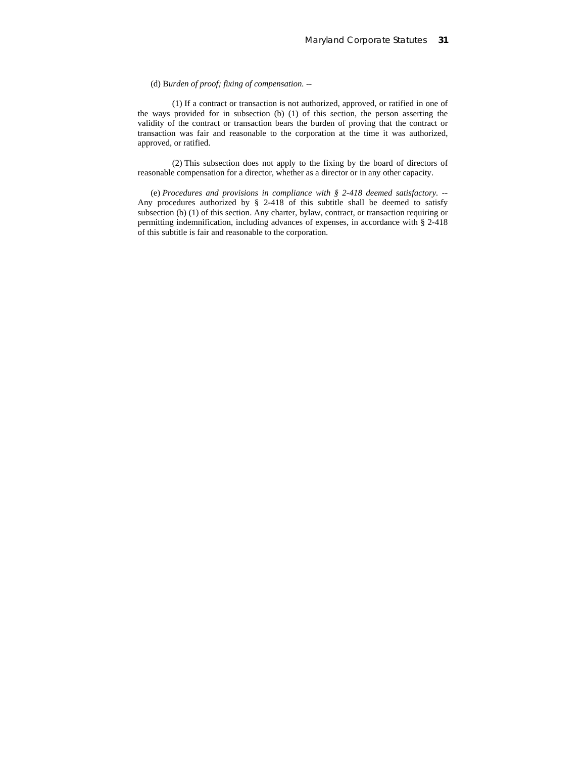## (d) B*urden of proof; fixing of compensation.* --

(1) If a contract or transaction is not authorized, approved, or ratified in one of the ways provided for in subsection (b) (1) of this section, the person asserting the validity of the contract or transaction bears the burden of proving that the contract or transaction was fair and reasonable to the corporation at the time it was authorized, approved, or ratified.

(2) This subsection does not apply to the fixing by the board of directors of reasonable compensation for a director, whether as a director or in any other capacity.

(e) *Procedures and provisions in compliance with § 2-418 deemed satisfactory.* -- Any procedures authorized by § 2-418 of this subtitle shall be deemed to satisfy subsection (b) (1) of this section. Any charter, bylaw, contract, or transaction requiring or permitting indemnification, including advances of expenses, in accordance with § 2-418 of this subtitle is fair and reasonable to the corporation.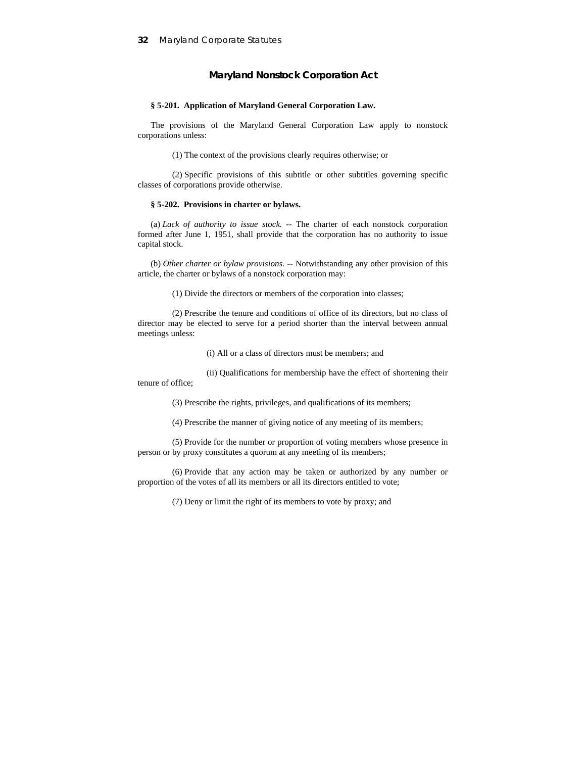## **Maryland Nonstock Corporation Act**

## **§ 5-201. Application of Maryland General Corporation Law.**

The provisions of the Maryland General Corporation Law apply to nonstock corporations unless:

(1) The context of the provisions clearly requires otherwise; or

(2) Specific provisions of this subtitle or other subtitles governing specific classes of corporations provide otherwise.

## **§ 5-202. Provisions in charter or bylaws.**

(a) *Lack of authority to issue stock.* -- The charter of each nonstock corporation formed after June 1, 1951, shall provide that the corporation has no authority to issue capital stock.

(b) *Other charter or bylaw provisions.* -- Notwithstanding any other provision of this article, the charter or bylaws of a nonstock corporation may:

(1) Divide the directors or members of the corporation into classes;

(2) Prescribe the tenure and conditions of office of its directors, but no class of director may be elected to serve for a period shorter than the interval between annual meetings unless:

(i) All or a class of directors must be members; and

(ii) Qualifications for membership have the effect of shortening their tenure of office;

(3) Prescribe the rights, privileges, and qualifications of its members;

(4) Prescribe the manner of giving notice of any meeting of its members;

(5) Provide for the number or proportion of voting members whose presence in person or by proxy constitutes a quorum at any meeting of its members;

(6) Provide that any action may be taken or authorized by any number or proportion of the votes of all its members or all its directors entitled to vote;

(7) Deny or limit the right of its members to vote by proxy; and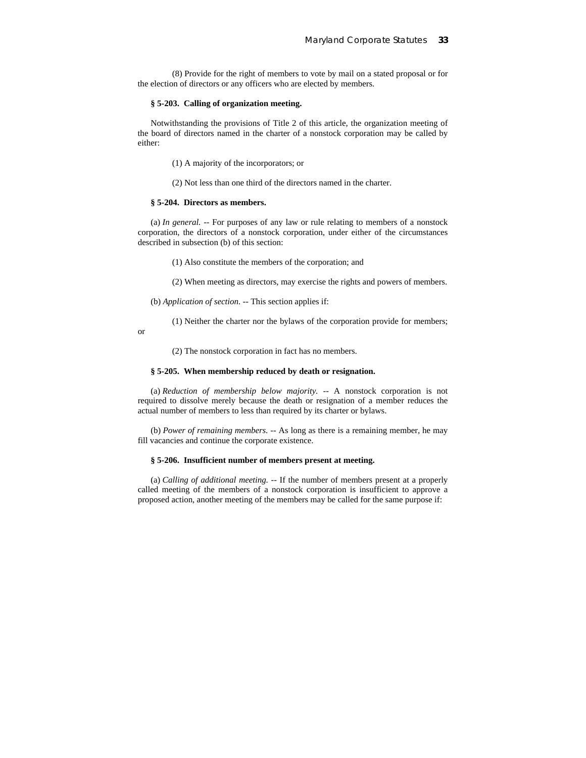(8) Provide for the right of members to vote by mail on a stated proposal or for the election of directors or any officers who are elected by members.

#### **§ 5-203. Calling of organization meeting.**

Notwithstanding the provisions of Title 2 of this article, the organization meeting of the board of directors named in the charter of a nonstock corporation may be called by either:

(1) A majority of the incorporators; or

(2) Not less than one third of the directors named in the charter.

## **§ 5-204. Directors as members.**

(a) *In general.* -- For purposes of any law or rule relating to members of a nonstock corporation, the directors of a nonstock corporation, under either of the circumstances described in subsection (b) of this section:

(1) Also constitute the members of the corporation; and

(2) When meeting as directors, may exercise the rights and powers of members.

(b) *Application of section.* -- This section applies if:

(1) Neither the charter nor the bylaws of the corporation provide for members;

or

(2) The nonstock corporation in fact has no members.

#### **§ 5-205. When membership reduced by death or resignation.**

(a) *Reduction of membership below majority.* -- A nonstock corporation is not required to dissolve merely because the death or resignation of a member reduces the actual number of members to less than required by its charter or bylaws.

(b) *Power of remaining members.* -- As long as there is a remaining member, he may fill vacancies and continue the corporate existence.

#### **§ 5-206. Insufficient number of members present at meeting.**

(a) *Calling of additional meeting.* -- If the number of members present at a properly called meeting of the members of a nonstock corporation is insufficient to approve a proposed action, another meeting of the members may be called for the same purpose if: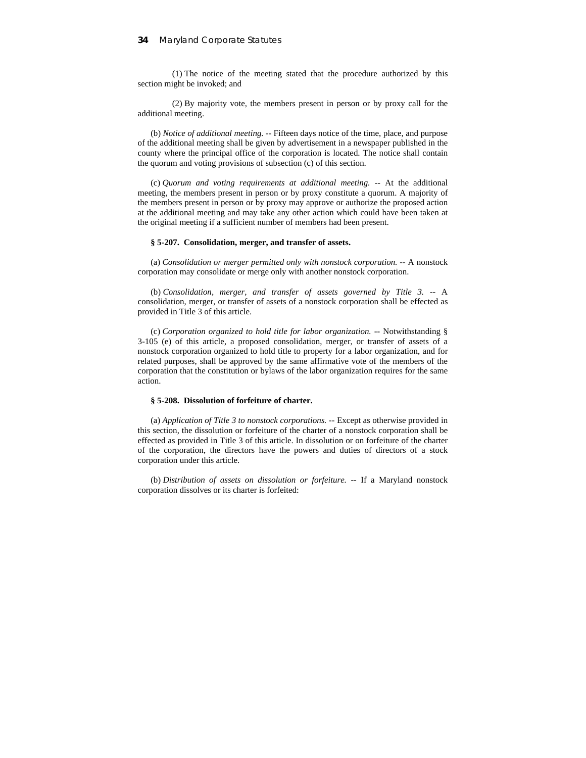(1) The notice of the meeting stated that the procedure authorized by this section might be invoked; and

(2) By majority vote, the members present in person or by proxy call for the additional meeting.

(b) *Notice of additional meeting.* -- Fifteen days notice of the time, place, and purpose of the additional meeting shall be given by advertisement in a newspaper published in the county where the principal office of the corporation is located. The notice shall contain the quorum and voting provisions of subsection (c) of this section.

(c) *Quorum and voting requirements at additional meeting.* -- At the additional meeting, the members present in person or by proxy constitute a quorum. A majority of the members present in person or by proxy may approve or authorize the proposed action at the additional meeting and may take any other action which could have been taken at the original meeting if a sufficient number of members had been present.

#### **§ 5-207. Consolidation, merger, and transfer of assets.**

(a) *Consolidation or merger permitted only with nonstock corporation.* -- A nonstock corporation may consolidate or merge only with another nonstock corporation.

(b) *Consolidation, merger, and transfer of assets governed by Title 3.* -- A consolidation, merger, or transfer of assets of a nonstock corporation shall be effected as provided in Title 3 of this article.

(c) *Corporation organized to hold title for labor organization.* -- Notwithstanding § 3-105 (e) of this article, a proposed consolidation, merger, or transfer of assets of a nonstock corporation organized to hold title to property for a labor organization, and for related purposes, shall be approved by the same affirmative vote of the members of the corporation that the constitution or bylaws of the labor organization requires for the same action.

#### **§ 5-208. Dissolution of forfeiture of charter.**

(a) *Application of Title 3 to nonstock corporations.* -- Except as otherwise provided in this section, the dissolution or forfeiture of the charter of a nonstock corporation shall be effected as provided in Title 3 of this article. In dissolution or on forfeiture of the charter of the corporation, the directors have the powers and duties of directors of a stock corporation under this article.

(b) *Distribution of assets on dissolution or forfeiture.* -- If a Maryland nonstock corporation dissolves or its charter is forfeited: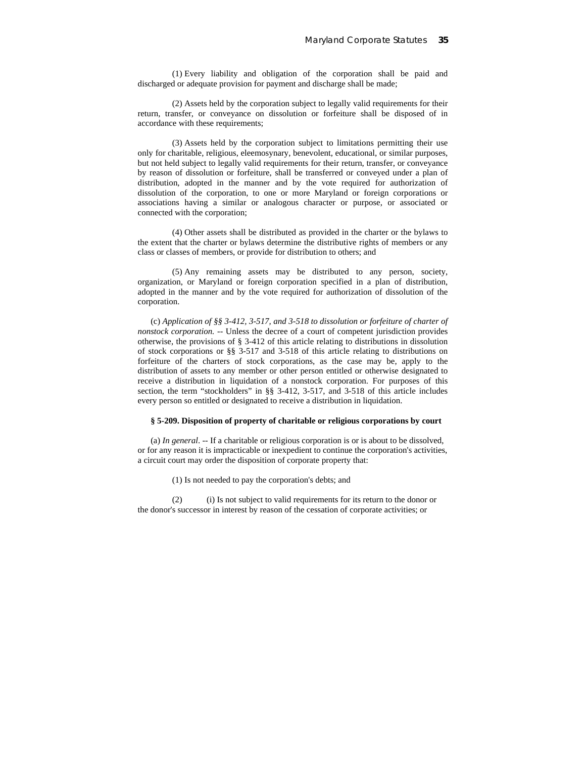(1) Every liability and obligation of the corporation shall be paid and discharged or adequate provision for payment and discharge shall be made;

(2) Assets held by the corporation subject to legally valid requirements for their return, transfer, or conveyance on dissolution or forfeiture shall be disposed of in accordance with these requirements;

(3) Assets held by the corporation subject to limitations permitting their use only for charitable, religious, eleemosynary, benevolent, educational, or similar purposes, but not held subject to legally valid requirements for their return, transfer, or conveyance by reason of dissolution or forfeiture, shall be transferred or conveyed under a plan of distribution, adopted in the manner and by the vote required for authorization of dissolution of the corporation, to one or more Maryland or foreign corporations or associations having a similar or analogous character or purpose, or associated or connected with the corporation;

(4) Other assets shall be distributed as provided in the charter or the bylaws to the extent that the charter or bylaws determine the distributive rights of members or any class or classes of members, or provide for distribution to others; and

(5) Any remaining assets may be distributed to any person, society, organization, or Maryland or foreign corporation specified in a plan of distribution, adopted in the manner and by the vote required for authorization of dissolution of the corporation.

(c) *Application of §§ 3-412, 3-517, and 3-518 to dissolution or forfeiture of charter of nonstock corporation.* -- Unless the decree of a court of competent jurisdiction provides otherwise, the provisions of § 3-412 of this article relating to distributions in dissolution of stock corporations or §§ 3-517 and 3-518 of this article relating to distributions on forfeiture of the charters of stock corporations, as the case may be, apply to the distribution of assets to any member or other person entitled or otherwise designated to receive a distribution in liquidation of a nonstock corporation. For purposes of this section, the term "stockholders" in §§ 3-412, 3-517, and 3-518 of this article includes every person so entitled or designated to receive a distribution in liquidation.

#### **§ 5-209. Disposition of property of charitable or religious corporations by court**

(a) *In general*. -- If a charitable or religious corporation is or is about to be dissolved, or for any reason it is impracticable or inexpedient to continue the corporation's activities, a circuit court may order the disposition of corporate property that:

(1) Is not needed to pay the corporation's debts; and

(2) (i) Is not subject to valid requirements for its return to the donor or the donor's successor in interest by reason of the cessation of corporate activities; or